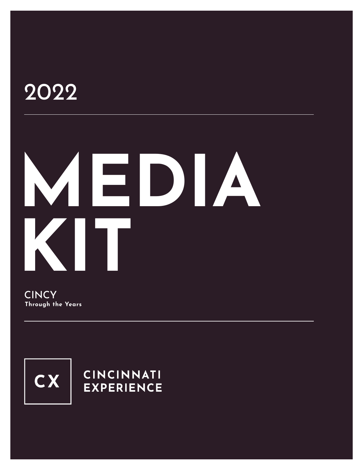## 2022

# **MEDIA KIT**

**CINCY Through the Years**



#### **CINCINNATI EXPERIENCE**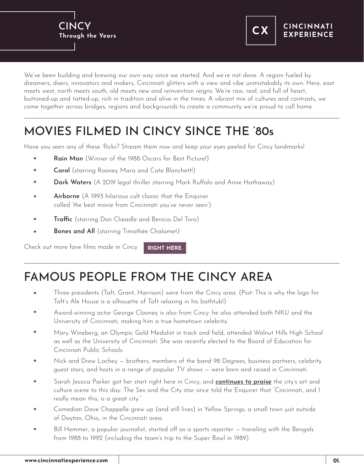



We've been building and brewing our own way since we started. And we're not done. A region fueled by dreamers, doers, innovators and makers, Cincinnati glitters with a view and vibe unmistakably its own. Here, east meets west, north meets south, old meets new and reinvention reigns. We're raw, real, and full of heart, buttoned-up and tatted-up, rich in tradition and alive in the times. A vibrant mix of cultures and contrasts, we come together across bridges, regions and backgrounds to create a community we're proud to call home.

### MOVIES FILMED IN CINCY SINCE THE '80s

Have you seen any of these 'flicks? Stream them now and keep your eyes peeled for Cincy landmarks!

- Rain Man (Winner of the 1988 Oscars for Best Picture!)
- Carol (starring Rooney Mara and Cate Blanchett!)  $\ddot{\phantom{a}}$
- Dark Waters (A 2019 legal thriller starring Mark Ruffalo and Anne Hathaway)
- Airborne (A 1993 hilarious cult classic that the Enquirer  $\ddot{\bullet}$ called 'the best movie from Cincinnati you've never seen')
- Traffic (starring Don Cheadle and Benicio Del Toro) ۰
- Bones and All (starring Timothée Chalamet)  $\ddot{\bullet}$

Check out more fave films made in Cincy **[RIGHT HERE.](https://www.youtube.com/watch?v=ASdizy5qkLY)**

#### FAMOUS PEOPLE FROM THE CINCY AREA

- Three presidents (Taft, Grant, Harrison) were from the Cincy area. (Psst: This is why the logo for Taft's Ale House is a silhouette of Taft relaxing in his bathtub!)
- Award-winning actor George Clooney is also from Cincy: he also attended both NKU and the University of Cincinnati, making him a true hometown celebrity.
- Mary Wineberg, an Olympic Gold Medalist in track and field, attended Walnut Hills High School as well as the University of Cincinnati. She was recently elected to the Board of Education for Cincinnati Public Schools.
- Nick and Drew Lachey brothers, members of the band 98 Degrees, business partners, celebrity  $\ddot{\bullet}$ guest stars, and hosts in a range of popular TV shows — were born and raised in Cincinnati.
- Sarah Jessica Parker got her start right here in Cincy, and **[continues to praise](https://www.cincinnati.com/story/entertainment/2016/10/05/where-did-sarah-jessica-parker-get-her-start-right-here/91630900/)** the city's art and  $\ddot{\bullet}$ culture scene to this day: The Sex and the City star once told the Enquirer that "Cincinnati, and I really mean this, is a great city."
- Comedian Dave Chappelle grew up (and still lives) in Yellow Springs, a small town just outside of Dayton, Ohio, in the Cincinnati area.
- Bill Hemmer, a popular journalist, started off as a sports reporter traveling with the Bengals ۰ from 1988 to 1992 (including the team's trip to the Super Bowl in 1989).